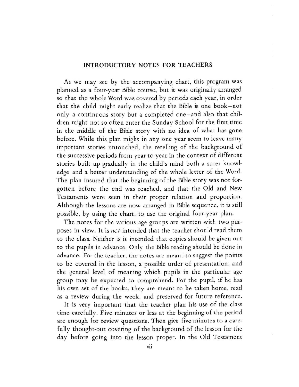### INTRODUCTORY NOTES FOR TEACHERS

As we may see by the accompanying chart, this program was planned as a four-year Bible course, but it was originally arranged so that the whole Word was covered by periods each year, in order that the child might early realize that the Bible is one book-not only a continuous story but a completed one-and also that children might not so often enter the Sunday School for the first time in the middle of the Bible story with no idea of what has gone before. While this plan might in anyone year seem to leave many important stories untouched, the retelling of the background of the successive periods from year to year in the context of different stories built up gradually in the child's mind both a surer knowledge and a better understanding of the whole letter of the Word. The plan insured that the beginning of the Bible story was not forgotten before the end was reached, and that the Old and New Testaments were seen in their proper relation and proportion. Although the lessons are now arranged in Bible sequence, it is still possible, by using the chart, to use the original four-year plan.

The notes for the various age groups are written with two purposes in view. It is *not* intended that the teacher should read them to the class. Neither is it intended that copies should be given out to the pupils in advance. Only the Bible reading should be done in advance. For the teacher, the notes are meant to suggest the points to be covered in the lesson, a possible order of presentation, and the general level of meaning which pupils in the particular age group may be expected to comprehend. For the pupil, if he has his own set of the books, they are meant to be taken home, read as a review during the week, and preserved for future reference.

It is very important that the teacher plan his use of the class time carefully. Five minutes or less at the beginning of the period are enough for review questions. Then give five minutes to a carefully thought-out covering of the background of the lesson for the day before going into the lesson proper. In the Old Testament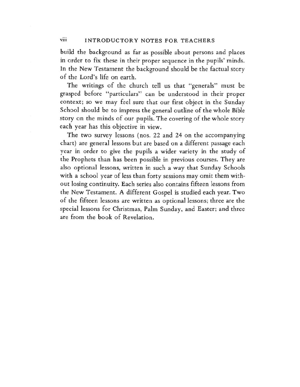#### viii INTRODUCTORY NOTES FOR TEACHERS

build the background as far as possible about persons and places in order to fix these in their proper sequence in the pupils' minds. In the New Testament the background should be the factual story of the Lord's life on earth.

The writings of the church tell us that "generals" must be grasped before "particulars" can be understood in their proper context; so we may feel sure that our first object in the Sunday School should be to impress the general outline of the whole Bible story on the minds of our pupils. The covering of the whole story each year has this objective in view.

The two survey lessons (nos. 22 and 24 on the accompanying chart) are general lessons but are based on a different passage each year in order to give the pupils a wider variety in the study of the Prophets than has been possible in previous courses. They are also optional lessons, written in such a way that Sunday Schools with a school year of less than forty sessions may omit them without losing continuity. Each series also contains fifteen lessons from the New Testament. A different Gospel is studied each year. Two of the fifteen lessons are written as optional lessons; three are the special lessons for Christmas, Palm Sunday, and Easter; and three are from the book of Revelation.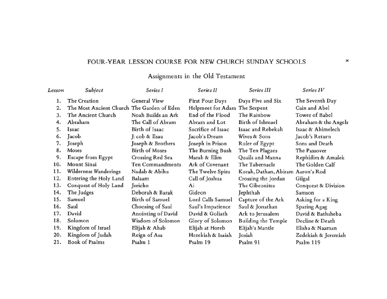## FOUR-YEAR LESSON COURSE FOR NEW CHURCH SUNDAY SCHOOLS

# Assignments in the Old Testament

| Lesson | Subject                                    | Series I              | Series II                     | Series III                        | Series IV            |
|--------|--------------------------------------------|-----------------------|-------------------------------|-----------------------------------|----------------------|
| 1.     | The Creation                               | <b>General View</b>   | First Four Days               | Days Five and Six                 | The Seventh Day      |
| 2.     | The Most Ancient Church The Garden of Eden |                       | Helpmeet for Adam The Serpent |                                   | Cain and Abel        |
| 3.     | The Ancient Church                         | Noah Builds an Ark    | End of the Flood              | The Rainbow                       | Tower of Babel       |
| 4.     | Abraham                                    | The Call of Abram     | Abram and Lot                 | Birth of Ishmael                  | Abraham & the Angels |
| 5.     | Isaac                                      | Birth of Isaac        | Sacrifice of Isaac            | Isaac and Rebekah                 | Isaac & Abimelech    |
| 6.     | Jacob                                      | J. cob & Esau         | Jacob's Dream                 | Wives & Sons                      | Jacob's Return       |
| 7.     | Joseph                                     | Joseph & Brothers     | Joseph in Prison              | Ruler of Egypt                    | Sons and Death       |
| 8.     | Moses                                      | <b>Birth of Moses</b> | The Burning Bush              | The Ten Plagues                   | The Passover         |
| 9.     | Escape from Egypt                          | Crossing Red Sea      | Marah & Elim                  | Quails and Manna                  | Rephidim & Amalek    |
| 10.    | Mount Sinai                                | Ten Commandments      | Ark of Covenant               | The Tabernacle                    | The Golden Calf      |
| 11.    | Wilderness Wanderings                      | Nadab & Abihu         | The Twelve Spies              | Korah, Dathan, Abiram Aaron's Rod |                      |
| 12.    | Entering the Holy Land                     | Balaam                | Call of Joshua                | Crossing the Jordan               | Gilgal               |
| 13.    | Conquest of Holy Land                      | Jericho               | Ai                            | The Gibeonites                    | Conquest & Division  |
| 14.    | The Judges                                 | Deborah & Barak       | Gideon                        | Jephthah                          | Samson               |
| 15.    | Samuel                                     | Birth of Samuel       | Lord Calls Samuel             | Capture of the Ark                | Asking for a King    |
| 16.    | Saul                                       | Choosing of Saul      | Saul's Impatience             | Saul & Jonathan                   | <b>Sparing Agag</b>  |
| 17.    | David                                      | Anointing of David    | David & Goliath               | Ark to Jerusalem                  | David & Bathsheba    |
| 18.    | Solomon                                    | Wisdom of Solomon     | Glory of Solomon              | Building the Temple               | Decline & Death      |
| 19.    | Kingdom of Israel                          | Elijah & Ahab         | Elijah at Horeb               | Elijah's Mantle                   | Elisha & Naaman      |
| 20.    | Kingdom of Judah                           | Reign of Asa          | Hezekiah & Isaiah             | Josiah                            | Zedekiah & Jeremiah  |
| 21.    | <b>Book of Psalms</b>                      | Psalm 1               | Psalm 19                      | Psalm 91                          | Psalm 119            |